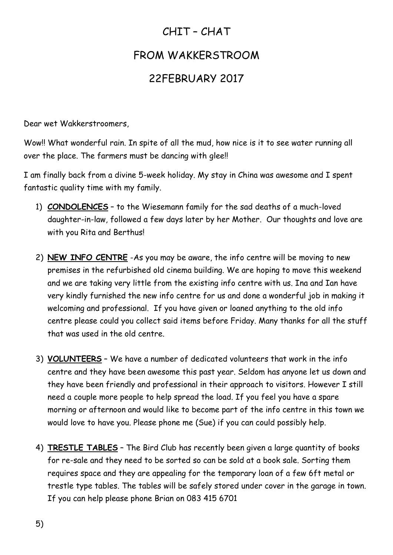## CHIT – CHAT FROM WAKKERSTROOM 22FEBRUARY 2017

Dear wet Wakkerstroomers,

Wow!! What wonderful rain. In spite of all the mud, how nice is it to see water running all over the place. The farmers must be dancing with glee!!

I am finally back from a divine 5-week holiday. My stay in China was awesome and I spent fantastic quality time with my family.

- 1) **CONDOLENCES** to the Wiesemann family for the sad deaths of a much-loved daughter-in-law, followed a few days later by her Mother. Our thoughts and love are with you Rita and Berthus!
- 2) **NEW INFO CENTRE** -As you may be aware, the info centre will be moving to new premises in the refurbished old cinema building. We are hoping to move this weekend and we are taking very little from the existing info centre with us. Ina and Ian have very kindly furnished the new info centre for us and done a wonderful job in making it welcoming and professional. If you have given or loaned anything to the old info centre please could you collect said items before Friday. Many thanks for all the stuff that was used in the old centre.
- 3) **VOLUNTEERS** We have a number of dedicated volunteers that work in the info centre and they have been awesome this past year. Seldom has anyone let us down and they have been friendly and professional in their approach to visitors. However I still need a couple more people to help spread the load. If you feel you have a spare morning or afternoon and would like to become part of the info centre in this town we would love to have you. Please phone me (Sue) if you can could possibly help.
- 4) **TRESTLE TABLES** The Bird Club has recently been given a large quantity of books for re-sale and they need to be sorted so can be sold at a book sale. Sorting them requires space and they are appealing for the temporary loan of a few 6ft metal or trestle type tables. The tables will be safely stored under cover in the garage in town. If you can help please phone Brian on 083 415 6701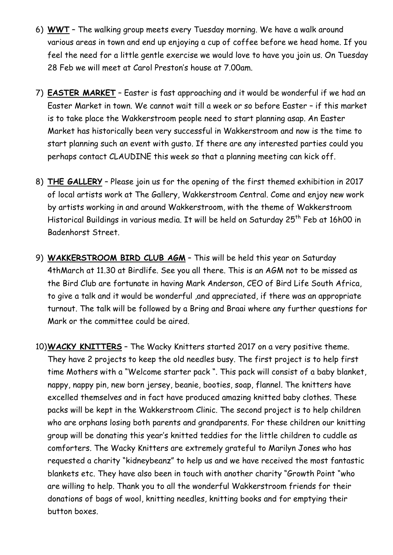- 6) **WWT** The walking group meets every Tuesday morning. We have a walk around various areas in town and end up enjoying a cup of coffee before we head home. If you feel the need for a little gentle exercise we would love to have you join us. On Tuesday 28 Feb we will meet at Carol Preston's house at 7.00am.
- 7) **EASTER MARKET** Easter is fast approaching and it would be wonderful if we had an Easter Market in town. We cannot wait till a week or so before Easter – if this market is to take place the Wakkerstroom people need to start planning asap. An Easter Market has historically been very successful in Wakkerstroom and now is the time to start planning such an event with gusto. If there are any interested parties could you perhaps contact CLAUDINE this week so that a planning meeting can kick off.
- 8) **THE GALLERY** Please join us for the opening of the first themed exhibition in 2017 of local artists work at The Gallery, Wakkerstroom Central. Come and enjoy new work by artists working in and around Wakkerstroom, with the theme of Wakkerstroom Historical Buildings in various media. It will be held on Saturday 25<sup>th</sup> Feb at 16h00 in Badenhorst Street.
- 9) **WAKKERSTROOM BIRD CLUB AGM** This will be held this year on Saturday 4thMarch at 11.30 at Birdlife. See you all there. This is an AGM not to be missed as the Bird Club are fortunate in having Mark Anderson, CEO of Bird Life South Africa, to give a talk and it would be wonderful ,and appreciated, if there was an appropriate turnout. The talk will be followed by a Bring and Braai where any further questions for Mark or the committee could be aired.
- 10)**WACKY KNITTERS** The Wacky Knitters started 2017 on a very positive theme. They have 2 projects to keep the old needles busy. The first project is to help first time Mothers with a "Welcome starter pack ". This pack will consist of a baby blanket, nappy, nappy pin, new born jersey, beanie, booties, soap, flannel. The knitters have excelled themselves and in fact have produced amazing knitted baby clothes. These packs will be kept in the Wakkerstroom Clinic. The second project is to help children who are orphans losing both parents and grandparents. For these children our knitting group will be donating this year's knitted teddies for the little children to cuddle as comforters. The Wacky Knitters are extremely grateful to Marilyn Jones who has requested a charity "kidneybeanz" to help us and we have received the most fantastic blankets etc. They have also been in touch with another charity "Growth Point "who are willing to help. Thank you to all the wonderful Wakkerstroom friends for their donations of bags of wool, knitting needles, knitting books and for emptying their button boxes.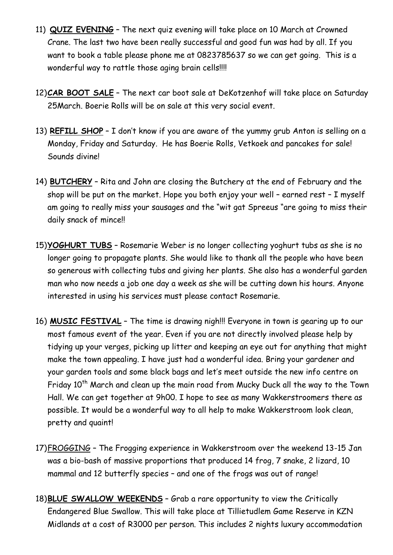- 11) **QUIZ EVENING** The next quiz evening will take place on 10 March at Crowned Crane. The last two have been really successful and good fun was had by all. If you want to book a table please phone me at 0823785637 so we can get going. This is a wonderful way to rattle those aging brain cells!!!!
- 12)**CAR BOOT SALE** The next car boot sale at DeKotzenhof will take place on Saturday 25March. Boerie Rolls will be on sale at this very social event.
- 13) **REFILL SHOP** I don't know if you are aware of the yummy grub Anton is selling on a Monday, Friday and Saturday. He has Boerie Rolls, Vetkoek and pancakes for sale! Sounds divine!
- 14) **BUTCHERY** Rita and John are closing the Butchery at the end of February and the shop will be put on the market. Hope you both enjoy your well – earned rest – I myself am going to really miss your sausages and the "wit gat Spreeus "are going to miss their daily snack of mince!!
- 15)**YOGHURT TUBS** Rosemarie Weber is no longer collecting yoghurt tubs as she is no longer going to propagate plants. She would like to thank all the people who have been so generous with collecting tubs and giving her plants. She also has a wonderful garden man who now needs a job one day a week as she will be cutting down his hours. Anyone interested in using his services must please contact Rosemarie.
- 16) **MUSIC FESTIVAL** The time is drawing nigh!!! Everyone in town is gearing up to our most famous event of the year. Even if you are not directly involved please help by tidying up your verges, picking up litter and keeping an eye out for anything that might make the town appealing. I have just had a wonderful idea. Bring your gardener and your garden tools and some black bags and let's meet outside the new info centre on Friday 10<sup>th</sup> March and clean up the main road from Mucky Duck all the way to the Town Hall. We can get together at 9h00. I hope to see as many Wakkerstroomers there as possible. It would be a wonderful way to all help to make Wakkerstroom look clean, pretty and quaint!
- 17)FROGGING The Frogging experience in Wakkerstroom over the weekend 13-15 Jan was a bio-bash of massive proportions that produced 14 frog, 7 snake, 2 lizard, 10 mammal and 12 butterfly species – and one of the frogs was out of range!
- 18)**BLUE SWALLOW WEEKENDS** Grab a rare opportunity to view the Critically Endangered Blue Swallow. This will take place at Tillietudlem Game Reserve in KZN Midlands at a cost of R3000 per person. This includes 2 nights luxury accommodation